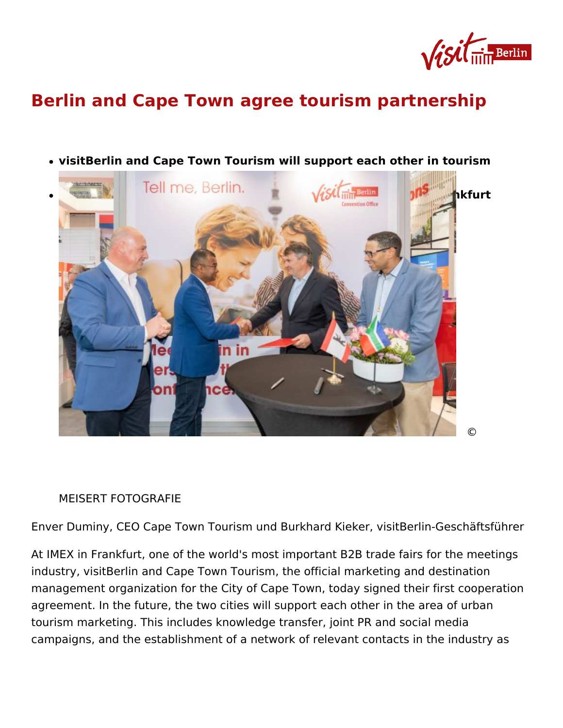## [Berlin and Cape Town agree tourism pa](https://about.visitberlin.de/en/press/press-releases/berlin-and-cape-town-agree-tourism-partnership)rtners

- visitBerlin and Cape Town Tourism will support each other in to marketing in the future
- Signing of the partnership today at the "IMEX" trade fair in Fran

 $\odot$ 

## MEISERT FOTOGRAFIE

Enver Duminy, CEO Cape Town Tourism und Burkhard Kieker, visitB

At IMEX in Frankfurt, one of the world's most important B2B trade f industry, visitBerlin and Cape Town Tourism, the official marketing management organization for the City of Cape Town, today signed t agreement. In the future, the two cities will support each other in t tourism marketing. This includes knowledge transfer, joint PR and : campaigns, and the establishment of a network of relevant contacts